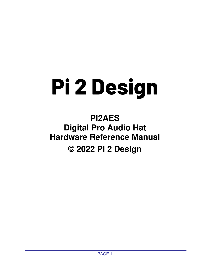# **Pi 2 Design**

**PI2AES Digital Pro Audio Hat Hardware Reference Manual © 2022 PI 2 Design**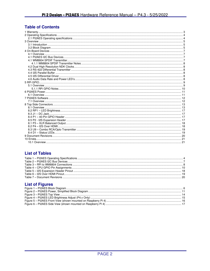# **Table of Contents**

# **List of Tables**

# **List of Figures**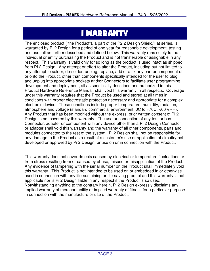# 1 WARRANTY

The enclosed product ("the Product"), a part of the P2 2 Design Shield/Hat series, is warranted by Pi 2 Design for a period of one year for reasonable development, testing and use, all as further described and defined below. This warranty runs solely to the individual or entity purchasing the Product and is not transferable or assignable in any respect. This warranty is valid only for so long as the product is used intact as shipped from PI 2 Design. Any attempt or effort to alter the Product, including but not limited to any attempt to solder, de-solder, unplug, replace, add or affix any part or component of or onto the Product, other than components specifically intended for the user to plug and unplug into appropriate sockets and/or Connectors to facilitate user programming, development and deployment, all as specifically described and authorized in this Product Hardware Reference Manual, shall void this warranty in all respects. Coverage under this warranty requires that the Product be used and stored at all times in conditions with proper electrostatic protection necessary and appropriate for a complex electronic device. These conditions include proper temperature, humidity, radiation, atmosphere and voltage (standard commercial environment, 0C to +70C, <60%RH). Any Product that has been modified without the express, prior written consent of Pi 2 Design is not covered by this warranty. The use or connection of any test or bus Connector, adapter or component with any device other than a Pi 2 Design Connector or adapter shall void this warranty and the warranty of all other components, parts and modules connected to the rest of the system. Pi 2 Design shall not be responsible for any damage to the Product as a result of a customer's use or application of circuitry not developed or approved by Pi 2 Design for use on or in connection with the Product.

This warranty does not cover defects caused by electrical or temperature fluctuations or from stress resulting from or caused by abuse, misuse or misapplication of the Product. Any evidence of tampering with the serial number on the Product shall immediately void this warranty. This Product is not intended to be used on or embedded in or otherwise used in connection with any life-sustaining or life-saving product and this warranty is not applicable nor is Pi 2 Design liable in any respect if the Product is so used. Notwithstanding anything to the contrary herein, Pi 2 Design expressly disclaims any implied warranty of merchantability or implied warranty of fitness for a particular purpose in connection with the manufacture or use of the Product.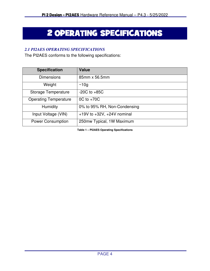# 2 OPERATING SPECIFICATIONS

# *2.1 PI2AES OPERATING SPECIFICATIONS*

The PI2AES conforms to the following specifications:

| <b>Specification</b>         | <b>Value</b>                      |  |
|------------------------------|-----------------------------------|--|
| <b>Dimensions</b>            | 85mm x 56.5mm                     |  |
| Weight                       | ~10q                              |  |
| Storage Temperature          | $-20C$ to $+85C$                  |  |
| <b>Operating Temperature</b> | $OC$ to $+70C$                    |  |
| Humidity                     | 0% to 95% RH, Non-Condensing      |  |
| Input Voltage (VIN)          | $+19V$ to $+32V$ , $+24V$ nominal |  |
| <b>Power Consumption</b>     | 250mw Typical, 1W Maximum         |  |

**Table 1 – PI2AES Operating Specifications**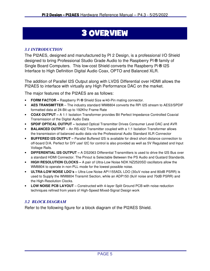# 3 OVERVIEW

# *3.1 INTRODUCTION*

The PI2AES, designed and manufactured by PI 2 Design, is a professional I/O Shield designed to bring Professional Studio Grade Audio to the Raspberry PI **®** family of Single Board Computers. This low-cost Shield converts the Raspberry Pi **®** I2S Interface to High Definition Digital Audio Coax, OPTO and Balanced XLR.

The addition of Parallel I2S Output along with LVDS Differential over HDMI allows the PI2AES to interface with virtually any High Performance DAC on the market.

The major features of the PI2AES are as follows:

- **FORM FACTOR –** Raspberry Pi **®** Shield Size w/40-Pin mating connector.
- **AES TRANSMITTER**  The industry standard WM8804 converts the RPi I2S stream to AES3/SPDIF formatted data at 24-Bit up to 192Khz Frame Rate
- **COAX OUTPUT –** A 1:1 Isolation Transformer provides Bit Perfect Impedance Controlled Coaxial Transmission of the Digital Audio Data
- **SPDIF OPTICAL OUTPUT** Isolated Optical Transmitter Drives Consumer Level DAC and AVR
- **BALANCED OUTPUT**  An RS-422 Transmitter coupled with a 1:1 Isolation Transformer allows the transmission of balanced audio data via the Professional Audio Standard XLR Connector
- **BUFFERED I2S OUTPUT –** Parallel Buffered I2S is available for direct short distance connection to off-board D/A. Perfect for DIY use! I2C for control is also provided as well as 5V Regulated and Input Voltage Rails.
- **DIFFERENTIAL I2S OUTPUT –** A DS2063 Differential Transmitters is used to drive the I2S Bus over a standard HDMI Connector. The Pinout is Selectable Between the PS Audio and Gustard Standards.
- **HIGH RESOLUTION CLOCKS –** A pair of Ultra-Low Noise NDK NZ2520SD oscillators allow the WM8804 to operate in non-PLL mode for the lowest possible noise.
- **ULTRA-LOW NOISE LDO's –** Ultra-Low Noise AP1155ADL LDO (30uV noise and 80dB PSRR) is used to Supply the WM8804 Transmit Section, while an ADP150 (9uV noise and 70dB PSRR) and the High-Resolution Clocks.
- **LOW NOISE PCB LAYOUT** Constructed with 4-layer Split Ground PCB with noise reduction techniques refined from years of High-Speed Mixed-Signal Design work

# *3.2 BLOCK DIAGRAM*

Refer to the following figure for a block diagram of the PI2AES Shield.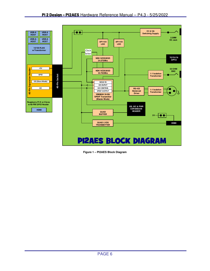

**Figure 1 – PI2AES Block Diagram**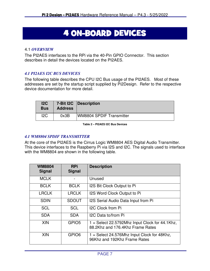# **4 ON-BOARD DEVICES**

### 4.1 *OVERVIEW*

The PI2AES interfaces to the RPi via the 40-Pin GPIO Connector. This section describes in detail the devices located on the PI2AES.

# *4.1 PI2AES I2C BUS DEVICES*

The following table describes the CPU I2C Bus usage of the PI2AES. Most of these addresses are set by the startup script supplied by Pi2Design. Refer to the respective device documentation for more detail.

| 12C<br><b>Bus</b> | <b>Address</b> | 7-Bit I2C   Description         |
|-------------------|----------------|---------------------------------|
| 12C               | 0x3B           | <b>WM8804 SPDIF Transmitter</b> |

**Table 2 – PI2AES I2C Bus Devices** 

### *4.1 WM8804 SPDIF TRANSMITTER*

At the core of the PI2AES is the Cirrus Logic WM8804 AES Digital Audio Transmitter. This device interfaces to the Raspberry Pi via I2S and I2C. The signals used to interface with the WM8804 are shown in the following table.

| <b>WM8804</b><br><b>Signal</b> | <b>RPi</b><br><b>Signal</b> | <b>Description</b>                                                                   |  |
|--------------------------------|-----------------------------|--------------------------------------------------------------------------------------|--|
| <b>MCLK</b>                    |                             | Unused                                                                               |  |
| <b>BCLK</b>                    | <b>BCLK</b>                 | I2S Bit Clock Output to Pi                                                           |  |
| <b>LRCLK</b>                   | <b>LRCLK</b>                | I2S Word Clock Output to Pi                                                          |  |
| <b>SDIN</b>                    | <b>SDOUT</b>                | I2S Serial Audio Data Input from Pi                                                  |  |
| <b>SCL</b>                     | <b>SCL</b>                  | <b>I2C Clock from Pi</b>                                                             |  |
| <b>SDA</b>                     | <b>SDA</b>                  | I2C Data to/from Pi                                                                  |  |
| <b>XIN</b>                     | GPIO <sub>5</sub>           | $1 =$ Select 22.5792Mhz Input Clock for 44.1Khz,<br>88.2Khz and 176.4Khz Frame Rates |  |
| <b>XIN</b>                     | GPIO <sub>6</sub>           | 1 = Select 24.576Mhz Input Clock for 48Khz,<br>96Khz and 192Khz Frame Rates          |  |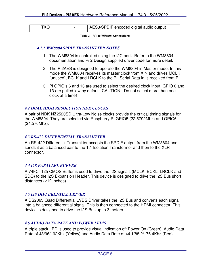| AES3/SPDIF encoded digital audio output<br><b>TXO</b> |
|-------------------------------------------------------|
|-------------------------------------------------------|

**Table 3 – RPi to WM8804 Connections** 

### *4.1.1 WM8804 SPDIF TRANSMITTER NOTES*

- 1. The WM8804 is controlled using the I2C port. Refer to the WM8804 documentation and Pi 2 Design supplied driver code for more detail.
- 2. The PI2AES is designed to operate the WM8804 in Master mode. In this mode the WM8804 receives its master clock from XIN and drives MCLK (unused), BCLK and LRCLK to the Pi. Serial Data in is received from Pi.
- 3. Pi GPIO's 6 and 13 are used to select the desired clock input. GPIO 6 and 13 are pulled low by default. CAUTION - Do not select more than one clock at a time!

### *4.2 DUAL HIGH RESOLUTION NDK CLOCKS*

A pair of NDK NZ2520SD Ultra-Low Noise clocks provide the critical timing signals for the WM8804. They are selected via Raspberry PI GPIO5 (22.5792Mhz) and GPIO6 (24.576Mhz).

### *4.3 RS-422 DIFFERENTIAL TRANSMITTER*

An RS-422 Differential Transmitter accepts the SPDIF output from the WM8804 and sends it as a balanced pair to the 1:1 Isolation Transformer and then to the XLR connector.

### *4.4 I2S PARALLEL BUFFER*

A 74FCT125 CMOS Buffer is used to drive the I2S signals (MCLK, BCKL, LRCLK and SDO) to the I2S Expansion Header. This device is designed to drive the I2S Bus short distances (<12 inches).

### *4.5 I2S DIFFERENTIAL DRIVER*

A DS2063 Quad Differential LVDS Driver takes the I2S Bus and converts each signal into a balanced differential signal. This is then connected to the HDMI connector. This device is designed to drive the I2S Bus up to 3 meters.

# *4.6 AUDIO DATA RATE AND POWER LED'S*

A triple stack LED is used to provide visual indication of: Power On (Green), Audio Data Rate of 48/96/192Khz (Yellow) and Audio Data Rate of 44.1/88.2/176.4Khz (Red).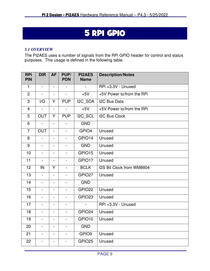# 5 RPI GPIO

### *5.1 OVERVIEW*

The PI2AES uses a number of signals from the RPi GPIO header for control and status purposes. This usage is defined in the following table.

| <b>RPi</b><br><b>PIN</b> | <b>DIR</b>     | <b>AF</b>                | PUP/<br><b>PDN</b> | <b>PI2AES</b><br><b>Name</b> | <b>Description/Notes</b>  |
|--------------------------|----------------|--------------------------|--------------------|------------------------------|---------------------------|
| $\mathbf{1}$             | $\blacksquare$ | $\frac{1}{2}$            | $\frac{1}{2}$      | $\blacksquare$               | RPi +3.3V - Unused        |
| $\overline{2}$           | $\blacksquare$ | $\blacksquare$           | $\blacksquare$     | $+5V$                        | +5V Power to/from the RPi |
| 3                        | I/O            | Y                        | <b>PUP</b>         | I2C SDA                      | <b>I2C Bus Data</b>       |
| $\overline{4}$           | $\blacksquare$ | $\blacksquare$           | $\blacksquare$     | $+5V$                        | +5V Power to/from the RPi |
| 5                        | <b>OUT</b>     | $\overline{Y}$           | <b>PUP</b>         | I2C_SCL                      | <b>I2C Bus Clock</b>      |
| 6                        | $\blacksquare$ | $\overline{\phantom{0}}$ | $\blacksquare$     | <b>GND</b>                   |                           |
| $\overline{7}$           | <b>OUT</b>     | $\blacksquare$           | $\blacksquare$     | GPIO4                        | Unused                    |
| 8                        | $\blacksquare$ | $\overline{\phantom{a}}$ | $\blacksquare$     | GPIO14                       | Unused                    |
| 9                        | $\blacksquare$ | $\overline{\phantom{a}}$ | $\blacksquare$     | <b>GND</b>                   | Unused                    |
| 10                       | $\blacksquare$ | $\overline{\phantom{0}}$ | $\blacksquare$     | GPIO15                       | Unused                    |
| $\overline{11}$          | $\Box$         |                          | $\blacksquare$     | GPIO17                       | Unused                    |
| 12                       | IN             | Y                        | $\blacksquare$     | <b>BCLK</b>                  | I2S Bit Clock from WM8804 |
| 13                       | $\blacksquare$ | $\blacksquare$           | $\blacksquare$     | GPIO27                       | Unused                    |
| 14                       | $\Box$         | $\frac{1}{2}$            | $\blacksquare$     | <b>GND</b>                   |                           |
| 15                       | $\blacksquare$ | $\blacksquare$           | $\blacksquare$     | GPIO22                       | Unused                    |
| 16                       | $\blacksquare$ | $\overline{\phantom{0}}$ | $\blacksquare$     | GPIO23                       | Unused                    |
| $\overline{17}$          | $\blacksquare$ |                          |                    |                              | RPi +3.3V - Unused        |
| 18                       | $\blacksquare$ | $\overline{\phantom{0}}$ | $\blacksquare$     | GPIO24                       | Unused                    |
| 19                       | $\blacksquare$ | $\frac{1}{2}$            | $\blacksquare$     | GPIO10                       | Unused                    |
| 20                       | $\blacksquare$ | $\overline{\phantom{a}}$ | $\blacksquare$     | <b>GND</b>                   |                           |
| 21                       | $\blacksquare$ | $\blacksquare$           | $\blacksquare$     | GPIO9                        | Unused                    |
| 22                       | $\blacksquare$ | $\blacksquare$           | $\blacksquare$     | GPIO25                       | Unused                    |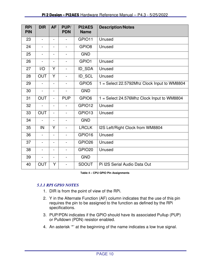| <b>RPi</b><br><b>PIN</b> | <b>DIR</b>               | <b>AF</b>                    | PUP/<br><b>PDN</b>       | <b>PI2AES</b><br><b>Name</b> | <b>Description/Notes</b>                    |
|--------------------------|--------------------------|------------------------------|--------------------------|------------------------------|---------------------------------------------|
| 23                       | ä,                       |                              |                          | GPIO11                       | Unused                                      |
| 24                       | $\blacksquare$           | $\overline{\phantom{a}}$     |                          | GPIO <sub>8</sub>            | Unused                                      |
| 25                       | $\blacksquare$           | $\overline{\phantom{a}}$     | $\blacksquare$           | <b>GND</b>                   |                                             |
| 26                       | $\blacksquare$           | $\qquad \qquad \blacksquare$ | $\overline{\phantom{a}}$ | GPIO1                        | Unused                                      |
| 27                       | I/O                      | Y                            |                          | ID_SDA                       | Unused                                      |
| 28                       | <b>OUT</b>               | Y                            |                          | ID_SCL                       | Unused                                      |
| 29                       | L.                       | $\blacksquare$               | $\blacksquare$           | GPIO <sub>5</sub>            | 1 = Select 22.5792Mhz Clock Input to WM8804 |
| 30                       | ä,                       | $\overline{\phantom{0}}$     | $\overline{\phantom{0}}$ | <b>GND</b>                   |                                             |
| 31                       | <b>OUT</b>               | $\blacksquare$               | <b>PUP</b>               | GPIO6                        | 1 = Select 24.576Mhz Clock Input to WM8804  |
| 32                       | L.                       | $\blacksquare$               | ۰                        | GPIO12                       | Unused                                      |
| 33                       | <b>OUT</b>               | $\blacksquare$               |                          | GPIO13                       | Unused                                      |
| 34                       |                          |                              |                          | <b>GND</b>                   |                                             |
| 35                       | IN                       | Y                            | $\blacksquare$           | <b>LRCLK</b>                 | I2S Left/Right Clock from WM8804            |
| 36                       | $\frac{1}{2}$            | $\qquad \qquad \blacksquare$ |                          | GPIO16                       | Unused                                      |
| 37                       | $\overline{\phantom{0}}$ | $\overline{\phantom{a}}$     | $\blacksquare$           | GPIO <sub>26</sub>           | Unused                                      |
| 38                       | $\blacksquare$           | $\qquad \qquad \blacksquare$ | $\overline{\phantom{0}}$ | GPIO <sub>20</sub>           | Unused                                      |
| 39                       |                          | $\overline{\phantom{a}}$     |                          | <b>GND</b>                   |                                             |
| 40                       | <b>OUT</b>               | Y                            |                          | <b>SDOUT</b>                 | Pi I2S Serial Audio Data Out                |

#### **Table 4 – CPU GPIO Pin Assignments**

# *5.1.1 RPI GPIO NOTES*

- 1. DIR is from the point of view of the RPi.
- 2. Y in the Alternate Function (AF) column indicates that the use of this pin requires the pin to be assigned to the function as defined by the RPi specifications.
- 3. PUP/PDN indicates if the GPIO should have its associated Pullup (PUP) or Pulldown (PDN) resistor enabled.
- 4. An asterisk '\*' at the beginning of the name indicates a low true signal.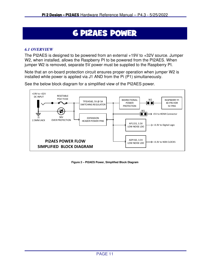# **6 PI2AES POWER**

### *6.1 OVERVIEW*

The PI2AES is designed to be powered from an external +19V to +32V source. Jumper W2, when installed, allows the Raspberry PI to be powered from the PI2AES. When jumper W2 is removed, separate 5V power must be supplied to the Raspberry PI.

Note that an on-board protection circuit ensures proper operation when jumper W2 is installed while power is applied via J1 AND from the Pi (P1) simultaneously.

See the below block diagram for a simplified view of the PI2AES power.



**Figure 2 – PI2AES Power, Simplified Block Diagram**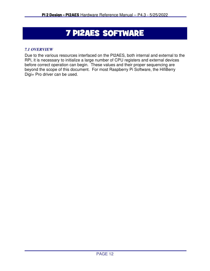# **7 PI2AES SOFTWARE**

# *7.1 OVERVIEW*

Due to the various resources interfaced on the PI2AES, both internal and external to the RPi, it is necessary to initialize a large number of CPU registers and external devices before correct operation can begin. These values and their proper sequencing are beyond the scope of this document. For most Raspberry Pi Software, the HifiBerry Digi+ Pro driver can be used.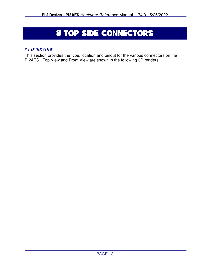# 8 TOP SIDE CONNECTORS

# *8.1 OVERVIEW*

This section provides the type, location and pinout for the various connectors on the PI2AES. Top View and Front View are shown in the following 3D renders.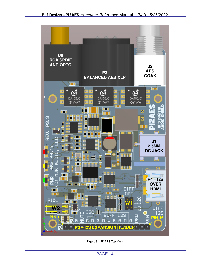

**Figure 3 – PI2AES Top View**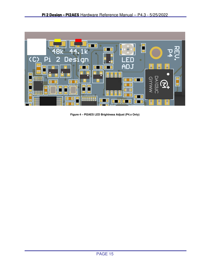

**Figure 4 – PI2AES LED Brightness Adjust (P4.x Only)**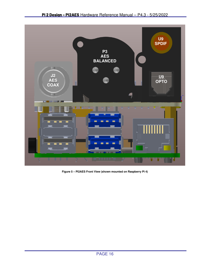

**Figure 5 – PI2AES Front View (shown mounted on Raspberry Pi 4)**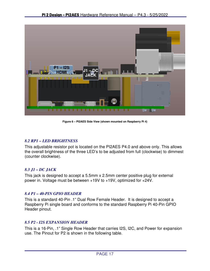

**Figure 6 – PI2AES Side View (shown mounted on Raspberry Pi 4)** 

# *8.2 RP1 – LED BRIGHTNESS*

This adjustable resistor pot is located on the PI2AES P4.0 and above only. This allows the overall brightness of the three LED's to be adjusted from full (clockwise) to dimmest (counter clockwise).

# *8.3 J1 – DC JACK*

This jack is designed to accept a 5.5mm x 2.5mm center positive plug for external power in. Voltage must be between +19V to +19V, optimized for +24V.

# *8.4 P1 – 40-PIN GPIO HEADER*

This is a standard 40-Pin .1" Dual Row Female Header. It is designed to accept a Raspberry Pi single board and conforms to the standard Raspberry Pi 40-Pin GPIO Header pinout.

# *8.5 P2 - I2S EXPANSION HEADER*

This is a 16-Pin, .1" Single Row Header that carries I2S, I2C, and Power for expansion use. The Pinout for P2 is shown in the following table.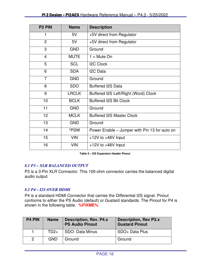| P <sub>2</sub> PIN | <b>Name</b>  | <b>Description</b>                            |  |
|--------------------|--------------|-----------------------------------------------|--|
| 1                  | 5V           | +5V direct from Regulator                     |  |
| $\overline{2}$     | 5V           | +5V direct from Regulator                     |  |
| 3                  | <b>GND</b>   | Ground                                        |  |
| $\overline{4}$     | <b>MUTE</b>  | $1 =$ Mute On                                 |  |
| 5                  | <b>SCL</b>   | <b>I2C Clock</b>                              |  |
| 6                  | <b>SDA</b>   | I <sub>2</sub> C Data                         |  |
| $\overline{7}$     | <b>GND</b>   | Ground                                        |  |
| 8                  | <b>SDO</b>   | <b>Buffered I2S Data</b>                      |  |
| 9                  | <b>LRCLK</b> | Buffered I2S Left/Right (Word) Clock          |  |
| 10                 | <b>BCLK</b>  | <b>Buffered I2S Bit Clock</b>                 |  |
| 11                 | <b>GND</b>   | Ground                                        |  |
| 12 <sup>2</sup>    | <b>MCLK</b>  | <b>Buffered I2S Master Clock</b>              |  |
| 13                 | <b>GND</b>   | Ground                                        |  |
| 14                 | *PSW         | Power Enable - Jumper with Pin 13 for auto on |  |
| 15                 | <b>VIN</b>   | +12V to +48V Input                            |  |
| 16                 | <b>VIN</b>   | $+12V$ to $+48V$ Input                        |  |

**Table 5 – I2S Expansion Header Pinout** 

# *8.1 P3 – XLR BALANCED OUTPUT*

P3 is a 3-Pin XLR Connector. This 100-ohm connector carries the balanced digital audio output.

# *8.2 P4 – I2S OVER HDMI*

P4 is a standard HDMI Connector that carries the Differential I2S signal. Pinout conforms to either the PS Audio (default) or Gustard standards. The Pinout for P4 is shown in the following table. **%FIXME%**

| <b>P4 PIN</b> | <b>Name</b> | <b>Description, Rev. P4.x</b><br><b>PS Audio Pinout</b> | <b>Description, Rev P3.x</b><br><b>Gustard Pinout</b> |
|---------------|-------------|---------------------------------------------------------|-------------------------------------------------------|
|               | $TD2+$      | SDO- Data Minus                                         | SDO+ Data Plus                                        |
| 2             | <b>GND</b>  | Ground                                                  | Ground                                                |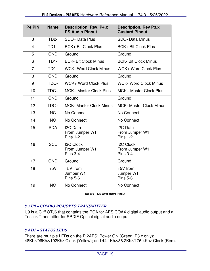| <b>P4 PIN</b>  | <b>Name</b>       | <b>Description, Rev. P4.x</b><br><b>PS Audio Pinout</b>    | <b>Description, Rev P3.x</b><br><b>Gustard Pinout</b>      |
|----------------|-------------------|------------------------------------------------------------|------------------------------------------------------------|
| 3              | TD <sub>2</sub> - | SDO+ Data Plus                                             | <b>SDO- Data Minus</b>                                     |
| $\overline{4}$ | $TD1+$            | <b>BCK+ Bit Clock Plus</b>                                 | <b>BCK+ Bit Clock Plus</b>                                 |
| 5              | <b>GND</b>        | Ground                                                     | Ground                                                     |
| 6              | TD <sub>1</sub> - | <b>BCK- Bit Clock Minus</b>                                | <b>BCK- Bit Clock Minus</b>                                |
| $\overline{7}$ | $TD0+$            | <b>WCK- Word Clock Minus</b>                               | <b>WCK+ Word Clock Plus</b>                                |
| 8              | <b>GND</b>        | Ground                                                     | Ground                                                     |
| 9              | TDO-              | WCK+ Word Clock Plus                                       | <b>WCK- Word Clock Minus</b>                               |
| 10             | $TDC+$            | <b>MCK+ Master Clock Plus</b>                              | <b>MCK+ Master Clock Plus</b>                              |
| 11             | <b>GND</b>        | Ground                                                     | Ground                                                     |
| 12             | TDC -             | <b>MCK- Master Clock Minus</b>                             | <b>MCK- Master Clock Minus</b>                             |
| 13             | <b>NC</b>         | No Connect                                                 | No Connect                                                 |
| 14             | <b>NC</b>         | No Connect                                                 | No Connect                                                 |
| 15             | <b>SDA</b>        | I <sub>2</sub> C Data<br>From Jumper W1<br><b>Pins 1-2</b> | I <sub>2</sub> C Data<br>From Jumper W1<br><b>Pins 1-2</b> |
| 16             | <b>SCL</b>        | <b>I2C Clock</b><br>From Jumper W1<br><b>Pins 3-4</b>      | <b>I2C Clock</b><br>From Jumper W1<br><b>Pins 3-4</b>      |
| 17             | <b>GND</b>        | Ground                                                     | Ground                                                     |
| 18             | $+5V$             | +5V from<br>Jumper W1<br><b>Pins 5-6</b>                   | +5V from<br>Jumper W1<br><b>Pins 5-6</b>                   |
| 19             | <b>NC</b>         | No Connect                                                 | No Connect                                                 |

**Table 6 – I2S Over HDMI Pinout** 

# *8.3 U9 – COMBO RCA/OPTO TRANSMITTER*

U9 is a Cliff OTJ6 that contains the RCA for AES COAX digital audio output and a Toslink Transmitter for SPDIF Optical digital audio output.

# *8.4 D1 – STATUS LEDS*

There are multiple LEDs on the PI2AES: Power ON (Green, P3.x only); 48Khz/96Khz/192Khz Clock (Yellow); and 44.1Khz/88.2Khz/176.4Khz Clock (Red).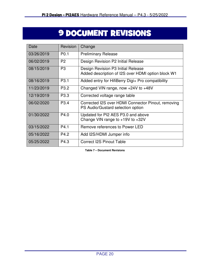# **9 DOCUMENT REVISIONS**

| Date       | Revision         | Change                                                                                   |
|------------|------------------|------------------------------------------------------------------------------------------|
| 03/26/2019 | P <sub>0.1</sub> | <b>Preliminary Release</b>                                                               |
| 06/02/2019 | P <sub>2</sub>   | Design Revision P2 Initial Release                                                       |
| 08/15/2019 | P <sub>3</sub>   | Design Revision P3 Initial Release<br>Added description of I2S over HDMI option block W1 |
| 08/16/2019 | P <sub>3.1</sub> | Added entry for HifiBerry Digi+ Pro compatibility                                        |
| 11/23/2019 | P <sub>3.2</sub> | Changed VIN range, now +24V to +48V                                                      |
| 12/19/2019 | P <sub>3.3</sub> | Corrected voltage range table                                                            |
| 06/02/2020 | P <sub>3.4</sub> | Corrected I2S over HDMI Connector Pinout, removing<br>PS Audio/Gustard selection option  |
| 01/30/2022 | P4.0             | Updated for PI2 AES P3.0 and above<br>Change VIN range to $+19V$ to $+32V$               |
| 03/15/2022 | P4.1             | Remove references to Power LED                                                           |
| 05/16/2022 | P4.2             | Add I2S/HDMI Jumper info                                                                 |
| 05/25/2022 | P4.3             | <b>Correct I2S Pinout Table</b>                                                          |

**Table 7 – Document Revisions**